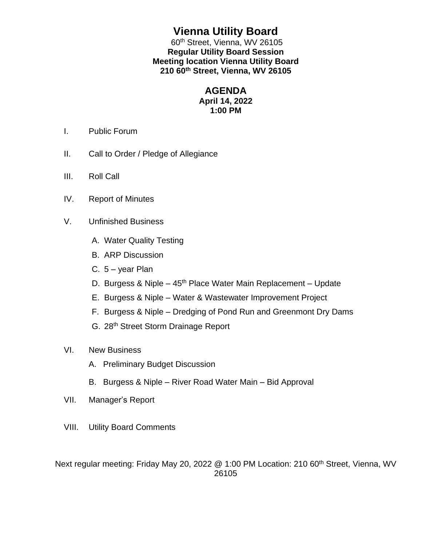# **Vienna Utility Board**

60<sup>th</sup> Street, Vienna, WV 26105 **Regular Utility Board Session Meeting location Vienna Utility Board 210 60th Street, Vienna, WV 26105**

### **AGENDA**

### **April 14, 2022 1:00 PM**

- I. Public Forum
- II. Call to Order / Pledge of Allegiance
- III. Roll Call
- IV. Report of Minutes
- V. Unfinished Business
	- A. Water Quality Testing
	- B. ARP Discussion
	- C.  $5 year$  Plan
	- D. Burgess & Niple 45<sup>th</sup> Place Water Main Replacement Update
	- E. Burgess & Niple Water & Wastewater Improvement Project
	- F. Burgess & Niple Dredging of Pond Run and Greenmont Dry Dams
	- G. 28th Street Storm Drainage Report
- VI. New Business
	- A. Preliminary Budget Discussion
	- B. Burgess & Niple River Road Water Main Bid Approval
- VII. Manager's Report
- VIII. Utility Board Comments

Next regular meeting: Friday May 20, 2022 @ 1:00 PM Location: 210 60<sup>th</sup> Street, Vienna, WV 26105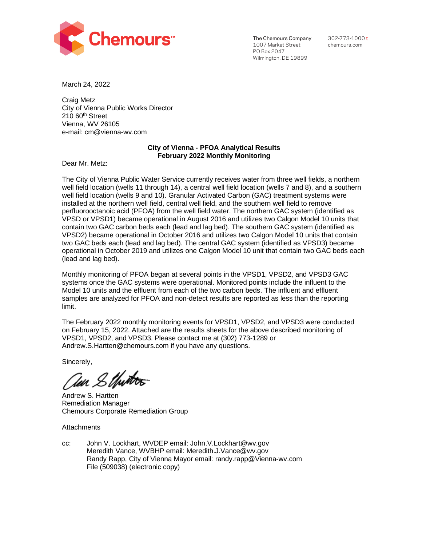

The Chemours Company 1007 Market Street PO Box 2047 Wilmington, DE 19899

302-773-1000 t chemours.com

March 24, 2022

Craig Metz City of Vienna Public Works Director  $210$  60<sup>th</sup> Street Vienna, WV 26105 e-mail: cm@vienna-wv.com

### **City of Vienna - PFOA Analytical Results February 2022 Monthly Monitoring**

Dear Mr. Metz:

The City of Vienna Public Water Service currently receives water from three well fields, a northern well field location (wells 11 through 14), a central well field location (wells 7 and 8), and a southern well field location (wells 9 and 10). Granular Activated Carbon (GAC) treatment systems were installed at the northern well field, central well field, and the southern well field to remove perfluorooctanoic acid (PFOA) from the well field water. The northern GAC system (identified as VPSD or VPSD1) became operational in August 2016 and utilizes two Calgon Model 10 units that contain two GAC carbon beds each (lead and lag bed). The southern GAC system (identified as VPSD2) became operational in October 2016 and utilizes two Calgon Model 10 units that contain two GAC beds each (lead and lag bed). The central GAC system (identified as VPSD3) became operational in October 2019 and utilizes one Calgon Model 10 unit that contain two GAC beds each (lead and lag bed).

Monthly monitoring of PFOA began at several points in the VPSD1, VPSD2, and VPSD3 GAC systems once the GAC systems were operational. Monitored points include the influent to the Model 10 units and the effluent from each of the two carbon beds. The influent and effluent samples are analyzed for PFOA and non-detect results are reported as less than the reporting limit.

The February 2022 monthly monitoring events for VPSD1, VPSD2, and VPSD3 were conducted on February 15, 2022. Attached are the results sheets for the above described monitoring of VPSD1, VPSD2, and VPSD3. Please contact me at (302) 773-1289 or Andrew.S.Hartten@chemours.com if you have any questions.

Sincerely,

Ten Sthirters

Andrew S. Hartten Remediation Manager Chemours Corporate Remediation Group

**Attachments** 

cc: John V. Lockhart, WVDEP email: John.V.Lockhart@wv.gov Meredith Vance, WVBHP email: Meredith.J.Vance@wv.gov Randy Rapp, City of Vienna Mayor email: randy.rapp@Vienna-wv.com File (509038) (electronic copy)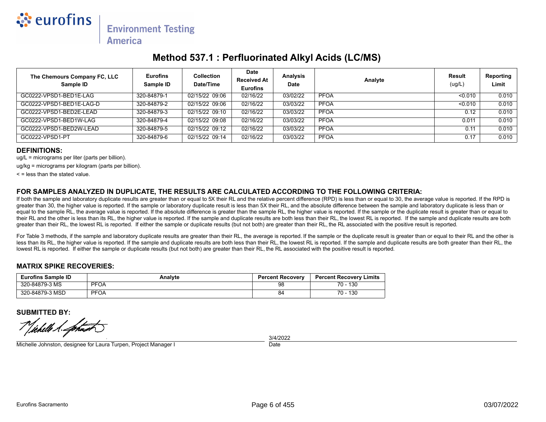

## **Method 537.1 : Perfluorinated Alkyl Acids (LC/MS)**

| The Chemours Company FC, LLC<br>Sample ID | <b>Eurofins</b><br>Sample ID | <b>Collection</b><br>Date/Time | <b>Date</b><br><b>Received At</b><br><b>Eurofins</b> | <b>Analysis</b><br><b>Date</b> | Analyte     | Result<br>(ug/L) | Reporting<br>Limit |
|-------------------------------------------|------------------------------|--------------------------------|------------------------------------------------------|--------------------------------|-------------|------------------|--------------------|
| GC0222-VPSD1-BED1E-LAG                    | 320-84879-1                  | 02/15/22 09:06                 | 02/16/22                                             | 03/02/22                       | <b>PFOA</b> | < 0.010          | 0.010              |
| GC0222-VPSD1-BED1E-LAG-D                  | 320-84879-2                  | 02/15/22 09:06                 | 02/16/22                                             | 03/03/22                       | <b>PFOA</b> | < 0.010          | 0.010              |
| GC0222-VPSD1-BED2E-LEAD                   | 320-84879-3                  | 02/15/22 09:10                 | 02/16/22                                             | 03/03/22                       | <b>PFOA</b> | 0.12             | 0.010              |
| GC0222-VPSD1-BED1W-LAG                    | 320-84879-4                  | 02/15/22 09:08                 | 02/16/22                                             | 03/03/22                       | <b>PFOA</b> | 0.011            | 0.010              |
| GC0222-VPSD1-BED2W-LEAD                   | 320-84879-5                  | 02/15/22 09:12                 | 02/16/22                                             | 03/03/22                       | <b>PFOA</b> | 0.11             | 0.010              |
| GC0222-VPSD1-PT                           | 320-84879-6                  | 02/15/22 09:14                 | 02/16/22                                             | 03/03/22                       | <b>PFOA</b> | 0.17             | 0.010              |

#### **DEFINITIONS:**

ug/L = micrograms per liter (parts per billion).

ug/kg = micrograms per kilogram (parts per billion).

 $\leq$  = less than the stated value.

#### **FOR SAMPLES ANALYZED IN DUPLICATE, THE RESULTS ARE CALCULATED ACCORDING TO THE FOLLOWING CRITERIA:**

If both the sample and laboratory duplicate results are greater than or equal to 5X their RL and the relative percent difference (RPD) is less than or equal to 30, the average value is reported. If the RPD is greater than 30, the higher value is reported. If the sample or laboratory duplicate result is less than 5X their RL, and the absolute difference between the sample and laboratory duplicate is less than or equal to the sample RL, the average value is reported. If the absolute difference is greater than the sample RL, the higher value is reported. If the sample or the duplicate result is greater than or equal to their RL and the other is less than its RL, the higher value is reported. If the sample and duplicate results are both less than their RL, the lowest RL is reported. If the sample and duplicate results are both greater than their RL, the lowest RL is reported. If either the sample or duplicate results (but not both) are greater than their RL, the RL associated with the positive result is reported.

For Table 3 methods, if the sample and laboratory duplicate results are greater than their RL, the average is reported. If the sample or the duplicate result is greater than or equal to their RL and the other is less than its RL, the higher value is reported. If the sample and duplicate results are both less than their RL, the lowest RL is reported. If the sample and duplicate results are both greater than their RL, the lowest RL is reported. If either the sample or duplicate results (but not both) are greater than their RL, the RL associated with the positive result is reported.

#### **MATRIX SPIKE RECOVERIES:**

| <b>Eurofins Sample ID</b> | Analyte     | <b>Percent Recovery</b> | <b>Percent Recovery Limits</b> |
|---------------------------|-------------|-------------------------|--------------------------------|
| 320-84879-3 MS            | <b>PFOA</b> | 98                      | 130<br>70 -                    |
| 320-84879-3 MSD           | <b>PFOA</b> | 84                      | 130<br>70 -                    |

**SUBMITTED BY:**

Vichelle 1. Lohan

Michelle Johnston, designee for Laura Turpen, Project Manager I

**Date** 3/4/2022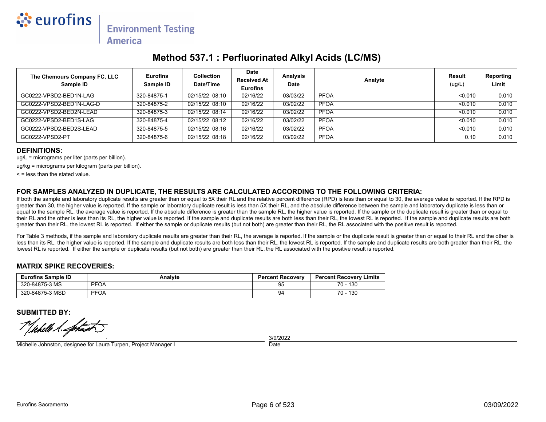

## **Method 537.1 : Perfluorinated Alkyl Acids (LC/MS)**

| The Chemours Company FC, LLC<br>Sample ID | <b>Eurofins</b><br>Sample ID | <b>Collection</b><br>Date/Time | <b>Date</b><br><b>Received At</b><br><b>Eurofins</b> | <b>Analysis</b><br>Date | Analyte     | Result<br>(ug/L) | Reporting<br>Limit |
|-------------------------------------------|------------------------------|--------------------------------|------------------------------------------------------|-------------------------|-------------|------------------|--------------------|
| GC0222-VPSD2-BED1N-LAG                    | 320-84875-1                  | 02/15/22 08:10                 | 02/16/22                                             | 03/03/22                | <b>PFOA</b> | < 0.010          | 0.010              |
| GC0222-VPSD2-BED1N-LAG-D                  | 320-84875-2                  | 02/15/22 08:10                 | 02/16/22                                             | 03/02/22                | <b>PFOA</b> | < 0.010          | 0.010              |
| GC0222-VPSD2-BED2N-LEAD                   | 320-84875-3                  | 02/15/22 08:14                 | 02/16/22                                             | 03/02/22                | <b>PFOA</b> | < 0.010          | 0.010              |
| GC0222-VPSD2-BED1S-LAG                    | 320-84875-4                  | 02/15/22 08:12                 | 02/16/22                                             | 03/02/22                | <b>PFOA</b> | < 0.010          | 0.010              |
| GC0222-VPSD2-BED2S-LEAD                   | 320-84875-5                  | 02/15/22 08:16                 | 02/16/22                                             | 03/02/22                | <b>PFOA</b> | < 0.010          | 0.010              |
| GC0222-VPSD2-PT                           | 320-84875-6                  | 02/15/22 08:18                 | 02/16/22                                             | 03/02/22                | <b>PFOA</b> | 0.10             | 0.010              |

#### **DEFINITIONS:**

ug/L = micrograms per liter (parts per billion).

ug/kg = micrograms per kilogram (parts per billion).

 $\leq$  = less than the stated value.

#### **FOR SAMPLES ANALYZED IN DUPLICATE, THE RESULTS ARE CALCULATED ACCORDING TO THE FOLLOWING CRITERIA:**

If both the sample and laboratory duplicate results are greater than or equal to 5X their RL and the relative percent difference (RPD) is less than or equal to 30, the average value is reported. If the RPD is greater than 30, the higher value is reported. If the sample or laboratory duplicate result is less than 5X their RL, and the absolute difference between the sample and laboratory duplicate is less than or equal to the sample RL, the average value is reported. If the absolute difference is greater than the sample RL, the higher value is reported. If the sample or the duplicate result is greater than or equal to their RL and the other is less than its RL, the higher value is reported. If the sample and duplicate results are both less than their RL, the lowest RL is reported. If the sample and duplicate results are both greater than their RL, the lowest RL is reported. If either the sample or duplicate results (but not both) are greater than their RL, the RL associated with the positive result is reported.

For Table 3 methods, if the sample and laboratory duplicate results are greater than their RL, the average is reported. If the sample or the duplicate result is greater than or equal to their RL and the other is less than its RL, the higher value is reported. If the sample and duplicate results are both less than their RL, the lowest RL is reported. If the sample and duplicate results are both greater than their RL, the lowest RL is reported. If either the sample or duplicate results (but not both) are greater than their RL, the RL associated with the positive result is reported.

#### **MATRIX SPIKE RECOVERIES:**

| <b>Eurofins Sample ID</b> | Analyte     | <b>Percent Recovery</b> | <b>Percent Recovery Limits</b> |
|---------------------------|-------------|-------------------------|--------------------------------|
| 320-84875-3 MS            | <b>PFOA</b> | 95                      | 130<br>70 -                    |
| 320-84875-3 MSD           | <b>PFOA</b> | 94                      | 130<br>70 -                    |

**SUBMITTED BY:**

Vichelle 1. Lohan

Michelle Johnston, designee for Laura Turpen, Project Manager I

**Date** 3/9/2022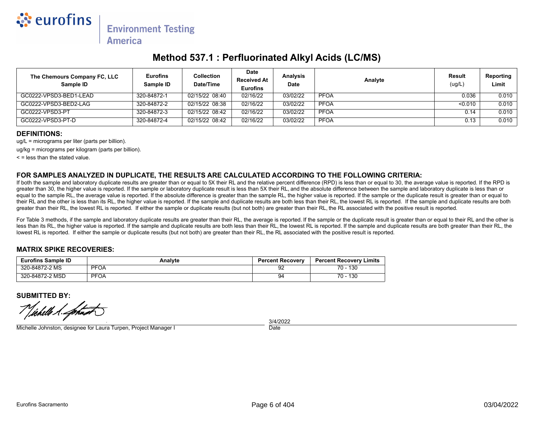

## **Method 537.1 : Perfluorinated Alkyl Acids (LC/MS)**

| The Chemours Company FC, LLC<br>Sample ID | <b>Eurofins</b><br>Sample ID | Collection<br>Date/Time | Date<br><b>Received At</b><br><b>Eurofins</b> | Analysis<br><b>Date</b> | Analyte     | Result<br>(ug/L) | <b>Reporting</b><br>Limit |
|-------------------------------------------|------------------------------|-------------------------|-----------------------------------------------|-------------------------|-------------|------------------|---------------------------|
| GC0222-VPSD3-BED1-LEAD                    | 320-84872-1                  | 02/15/22 08:40          | 02/16/22                                      | 03/02/22                | <b>PFOA</b> | 0.036            | 0.010                     |
| GC0222-VPSD3-BED2-LAG                     | 320-84872-2                  | 02/15/22 08:38          | 02/16/22                                      | 03/02/22                | <b>PFOA</b> | < 0.010          | 0.010                     |
| GC0222-VPSD3-PT                           | 320-84872-3                  | 02/15/22 08:42          | 02/16/22                                      | 03/02/22                | <b>PFOA</b> | 0.14             | 0.010                     |
| GC0222-VPSD3-PT-D                         | 320-84872-4                  | 02/15/22 08:42          | 02/16/22                                      | 03/02/22                | <b>PFOA</b> | 0.13             | 0.010                     |

#### **DEFINITIONS:**

ug/L = micrograms per liter (parts per billion).

ug/kg = micrograms per kilogram (parts per billion).

 $\leq$  = less than the stated value.

#### **FOR SAMPLES ANALYZED IN DUPLICATE, THE RESULTS ARE CALCULATED ACCORDING TO THE FOLLOWING CRITERIA:**

If both the sample and laboratory duplicate results are greater than or equal to 5X their RL and the relative percent difference (RPD) is less than or equal to 30, the average value is reported. If the RPD is greater than 30, the higher value is reported. If the sample or laboratory duplicate result is less than 5X their RL, and the absolute difference between the sample and laboratory duplicate is less than or equal to the sample RL, the average value is reported. If the absolute difference is greater than the sample RL, the higher value is reported. If the sample or the duplicate result is greater than or equal to their RL and the other is less than its RL, the higher value is reported. If the sample and duplicate results are both less than their RL, the lowest RL is reported. If the sample and duplicate results are both greater than their RL, the lowest RL is reported. If either the sample or duplicate results (but not both) are greater than their RL, the RL associated with the positive result is reported.

For Table 3 methods, if the sample and laboratory duplicate results are greater than their RL, the average is reported. If the sample or the duplicate result is greater than or equal to their RL and the other is less than its RL, the higher value is reported. If the sample and duplicate results are both less than their RL, the lowest RL is reported. If the sample and duplicate results are both greater than their RL, the lowest RL is reported. If either the sample or duplicate results (but not both) are greater than their RL, the RL associated with the positive result is reported.

#### **MATRIX SPIKE RECOVERIES:**

| <b>Eurofins Sample ID</b> | Analvte     | <b>Percent Recovery</b> | <b>Percent Recovery Limits</b> |
|---------------------------|-------------|-------------------------|--------------------------------|
| 320-84872-2 MS            | <b>PFOA</b> | 92                      | 130<br>70 -                    |
| 320-84872-2 MSD           | <b>PFOA</b> | 94                      | 130<br>70 -                    |

**SUBMITTED BY:**

Vichelle A. fortun

Michelle Johnston, designee for Laura Turpen, Project Manager I

**Date** 3/4/2022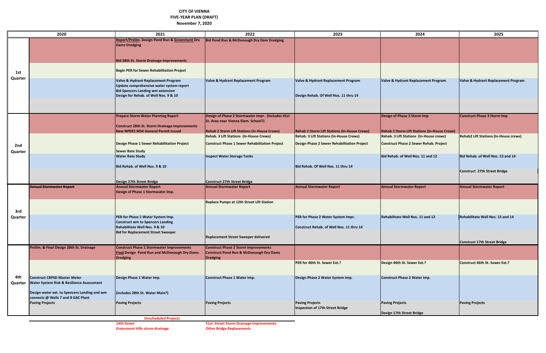**14th Street 51st. Street Storm Drainage Improvements**

### **CITY OF VIENNA FIVE-YEAR PLAN (DRAFT) November 7, 2020**

|         | 2020                                                                             | 2021                                                         | 2022                                                            | 2023                                                | 2024                                                                                           | 2025                                         |
|---------|----------------------------------------------------------------------------------|--------------------------------------------------------------|-----------------------------------------------------------------|-----------------------------------------------------|------------------------------------------------------------------------------------------------|----------------------------------------------|
|         |                                                                                  | Report/Prelim. Design Pond Run & Greenmont Dry               | Bid Pond Run & McDonough Dry Dam Dredging                       |                                                     |                                                                                                |                                              |
|         |                                                                                  | <b>Dams Dredging</b>                                         |                                                                 |                                                     |                                                                                                |                                              |
|         |                                                                                  |                                                              |                                                                 |                                                     |                                                                                                |                                              |
|         |                                                                                  | <b>Bid 28th St. Storm Drainage Improvements</b>              |                                                                 |                                                     |                                                                                                |                                              |
|         |                                                                                  |                                                              |                                                                 |                                                     |                                                                                                |                                              |
| 1st     |                                                                                  | <b>Begin PER for Sewer Rehabilitation Project</b>            |                                                                 |                                                     |                                                                                                |                                              |
| Quarter |                                                                                  | Valve & Hydrant Replacement Program                          | Valve & Hydrant Replacement Program                             | Valve & Hydrant Replacement Program                 | Valve & Hydrant Replacement Program                                                            | Valve & Hydrant Replacement Program          |
|         |                                                                                  | Update comprehensive water system report                     |                                                                 |                                                     |                                                                                                |                                              |
|         |                                                                                  | <b>Bid Spencers Landing wm extension</b>                     |                                                                 |                                                     |                                                                                                |                                              |
|         |                                                                                  | Design for Rehab. of Well Nos. 9 & 10                        |                                                                 | Design Rehab. Of Well Nos. 11 thru 14               |                                                                                                |                                              |
|         |                                                                                  |                                                              |                                                                 |                                                     |                                                                                                |                                              |
|         |                                                                                  |                                                              |                                                                 |                                                     |                                                                                                |                                              |
|         |                                                                                  | <b>Prepare Storm Water Planning Report</b>                   | Design of Phase 2 Stormwater Impr. (Includes 41st               |                                                     | Design of Phase 3 Storm Imp                                                                    | Construct Phase 3 Storm Imp                  |
|         |                                                                                  |                                                              | St. Area near Vienna Elem. School?)                             |                                                     |                                                                                                |                                              |
|         |                                                                                  | Construct 28th St. Storm Drainage Improvements               | <b>Rehab 2 Storm Lift Stations (In-House Crews)</b>             | <b>Rehab 2 Storm Lift Stations (In-House Crews)</b> |                                                                                                |                                              |
|         |                                                                                  | <b>New NPDES MS4 General Permit Issued</b>                   | Rehab. 3 Lift Stations (In-House Crews)                         | Rehab. 3 Lift Stations (In-House Crews)             | <b>Rehab 2 Storm Lift Stations (In-House Crews)</b><br>Rehab. 3 Lift Stations (In-House crews) | <b>Rehab2 Lift Stations (In-House crews)</b> |
|         |                                                                                  |                                                              |                                                                 |                                                     |                                                                                                |                                              |
| 2nd     |                                                                                  | Design Phase 1 Sewer Rehabilitation Project                  | <b>Construct Phase 1 Sewer Rehabilitation Project</b>           | Design Phase 2 Sewer Rehabilitation Project         | <b>Construct Phase 2 Sewer Rehab. Project</b>                                                  |                                              |
| Quarter |                                                                                  | <b>Sewer Rate Study</b>                                      |                                                                 |                                                     |                                                                                                |                                              |
|         |                                                                                  | <b>Water Rate Study</b>                                      | <b>Inspect Water Storage Tanks</b>                              |                                                     | Bid Rehab. of Well Nos. 11 and 12                                                              | Bid Rehab. of Well Nos. 13 and 14            |
|         |                                                                                  | Bid Rehab. of Well Nos. 9 & 10                               |                                                                 | Bid Rehab. Of Well Nos. 11 thru 14                  |                                                                                                |                                              |
|         |                                                                                  |                                                              |                                                                 |                                                     |                                                                                                | Construct 27th Street Bridge                 |
|         |                                                                                  |                                                              |                                                                 |                                                     |                                                                                                |                                              |
|         | <b>Annual Stormwater Report</b>                                                  | Design 27th Street Bridge<br><b>Annual Stormwater Report</b> | Construct 27th Street Bridge<br><b>Annual Stormwater Report</b> | <b>Annual Stormwater Report</b>                     | <b>Annual Stormwater Report</b>                                                                | <b>Annual Stormwater Report</b>              |
|         |                                                                                  | Design of Phase 1 Stormwater Imp.                            |                                                                 |                                                     |                                                                                                |                                              |
|         |                                                                                  |                                                              |                                                                 |                                                     |                                                                                                |                                              |
|         |                                                                                  |                                                              | Replace Pumps at 12th Street Lift Station                       |                                                     |                                                                                                |                                              |
| 3rd     |                                                                                  |                                                              |                                                                 |                                                     |                                                                                                |                                              |
| Quarter |                                                                                  | PER for Phase 1 Water System Imp.                            |                                                                 | PER for Phase 2 Water System Impr.                  | Rehabilitate Well Nos. 11 and 12                                                               | Rehabilitate Well Nos. 13 and 14             |
|         |                                                                                  | <b>Construct wm to Spencers Landing</b>                      |                                                                 |                                                     |                                                                                                |                                              |
|         |                                                                                  | Rehabilitate Well Nos. 9 & 10                                |                                                                 | Construct Rehab. of Well Nos. 11 thru 14            |                                                                                                |                                              |
|         |                                                                                  | <b>Bid for Replacement Street Sweeper</b>                    | Replacement Street Sweeper delivered                            |                                                     |                                                                                                |                                              |
|         |                                                                                  |                                                              |                                                                 |                                                     |                                                                                                | Construct 17th Street Bridge                 |
|         | Prelim. & Final Design 28th St. Drainage                                         | <b>Construct Phase 1 Stormwater Improvements</b>             | <b>Construct Phase 2 Storm Improvements</b>                     |                                                     |                                                                                                |                                              |
|         |                                                                                  | <b>Final Design Pond Run and McDonough Dry Dams</b>          | Construct Pond Run & McDonough Dry Dams                         |                                                     |                                                                                                |                                              |
|         |                                                                                  | <b>Dredging</b>                                              | <b>Dredging</b>                                                 | PER for 46th St. Sewer Ext.?                        | Design 46th St. Sewer Ext.?                                                                    | Construct 46th St. Sewer Ext.?               |
|         |                                                                                  |                                                              |                                                                 |                                                     |                                                                                                |                                              |
|         |                                                                                  |                                                              |                                                                 |                                                     |                                                                                                |                                              |
| 4th     | <b>Construct CBPSD Master Meter</b><br>Water System Risk & Resilience Assessment | Design Phase 1 Water Imp.                                    | <b>Construct Phase 1 Water Imp.</b>                             | Design Phase 2 Water System Imp.                    | Construct Phase 2 Water Imp.                                                                   |                                              |
| Quarter |                                                                                  |                                                              |                                                                 |                                                     |                                                                                                |                                              |
|         | Design water ext. to Spencers Landing and wm                                     | (includes 28th St. Water Main?)                              |                                                                 |                                                     |                                                                                                |                                              |
|         | connects @ Wells 7 and 8 GAC Plant                                               |                                                              |                                                                 |                                                     |                                                                                                |                                              |
|         | <b>Paving Projects</b>                                                           | <b>Paving Projects</b>                                       | <b>Paving Projects</b>                                          | <b>Paving Projects</b>                              | <b>Paving Projects</b>                                                                         | <b>Paving Projects</b>                       |
|         |                                                                                  |                                                              |                                                                 | Inspection of 17th Street Bridge                    | Design 17th Street Bridge                                                                      |                                              |
|         |                                                                                  | <b>Unscheduled Projects</b>                                  |                                                                 |                                                     |                                                                                                |                                              |

**Greenmont Hills storm drainage**